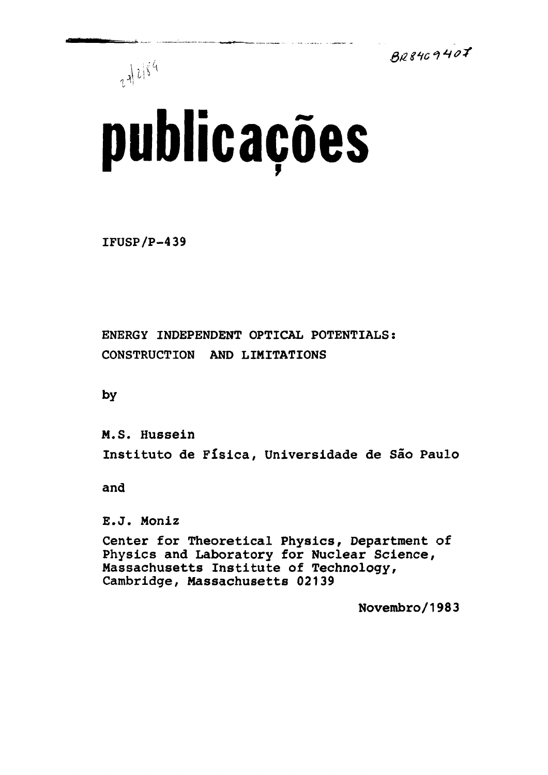$BB8409407$ 



# **publicações**

IFÜSP/P-439

ENERGY INDEPENDENT OPTICAL POTENTIALS: CONSTRUCTION AND LIMITATIONS

by

M.S. Hussein Instituto de Física, Universidade de São Paulo

------<br>--

E.J. Moniz<br>Center for Theoretical Physics, Department of Physics and Laboratory for Nuclear Science, Massachusetts Institute of Technology, massachusetts institute of Technology,<br>Cambridge Massachusetts 00130 Cambridge, Massachusetts 02139

Novembro/1983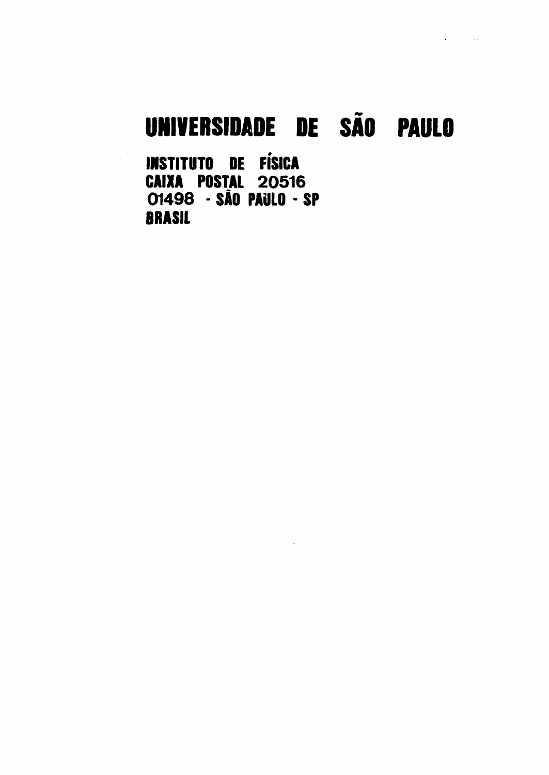## **UNIVERSIDADE DE SÃO PAULO**

**INSTITUTO DE FÍSICA CAIXA POSTAL 20516 0149 8 - SÀO PAULO - SP BRASIL**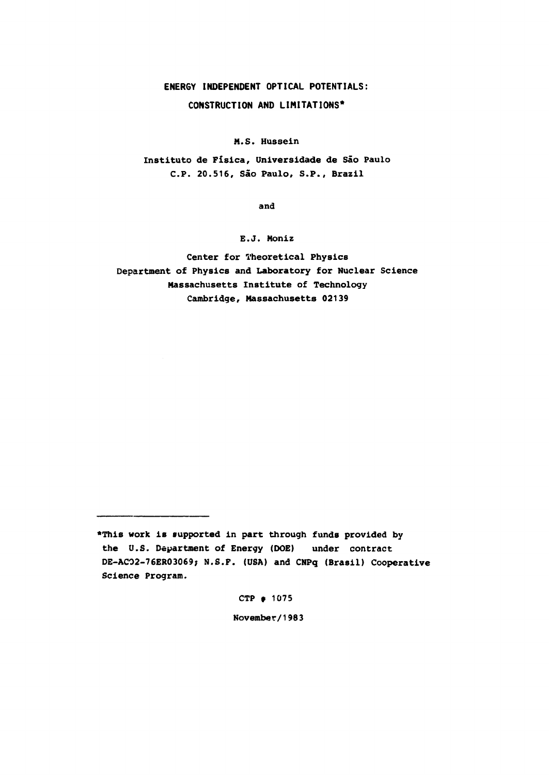#### **ENERGY INDEPENDENT OPTICAL POTENTIALS: CONSTRUCTION AND LIMITATIONS\***

**M.S. Hussein**

**Instituto de Física, Universidade de São Paulo C P . 20.516, São Paulo, S.P., Brazil**

**and**

**E.J. Moniz**

**Center for Theoretical Physics Department of Physics and Laboratory for Nuclear Science Massachusetts Institute of Technology Cambridge, Massachusetts 02139**

**CTP f 1075**

**November/1983**

**<sup>•</sup>This work is supported in part through funds provided by the U.S. Department of Energy (DOE) under contract DE-ACO2-76ER03069; N.S.F. (USA) and CNPq (Brasil) Cooperative Science Program.**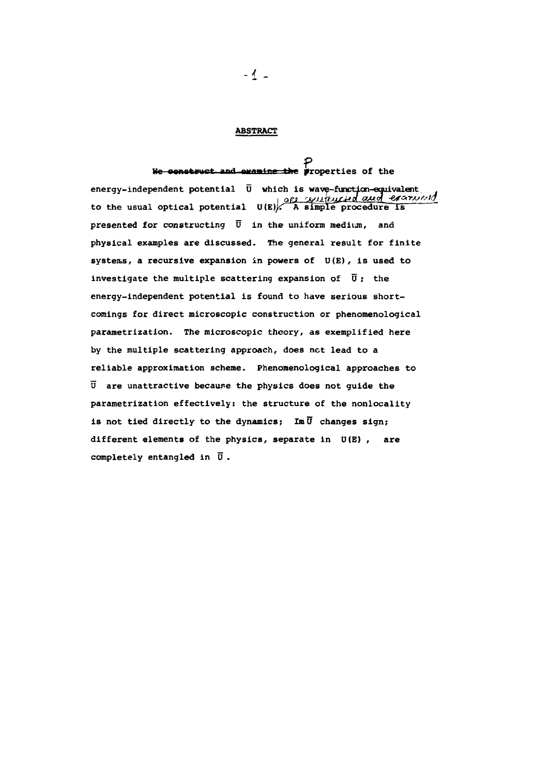#### **ABSTRACT**

### We construct and examine the properties of the

**energy-independent potential Ü which is wave-function-equivalent i Qft?<sup>r</sup>-Ryjt \fajjC^\*"\ £EXtoy -Çdt&ifAjf**to the usual optical potential U(E)<sup>2</sup> A simple procedure is **presented for constructing Ü in the uniform medium, and physical examples are discussed. The general result for finite systems, a recursive expansion in powers of U(E), is used to investigate the multiple scattering expansion of Ü ; the energy-independent potential is found to have serious shortcomings for direct microscopic construction or phenomenological parametrization. The microscopic theory, as exemplified here by the multiple scattering approach, does net lead to a reliable approximation scheme. Phenomenological approaches to Ü are unattractive because the physics does not guide the parametrization effectively: the structure of the nonlocality** is not tied directly to the dynamics; Im  $\overline{U}$  changes sign; **different elements of the physics, separate in U(E) , are completely entangled in Ü .**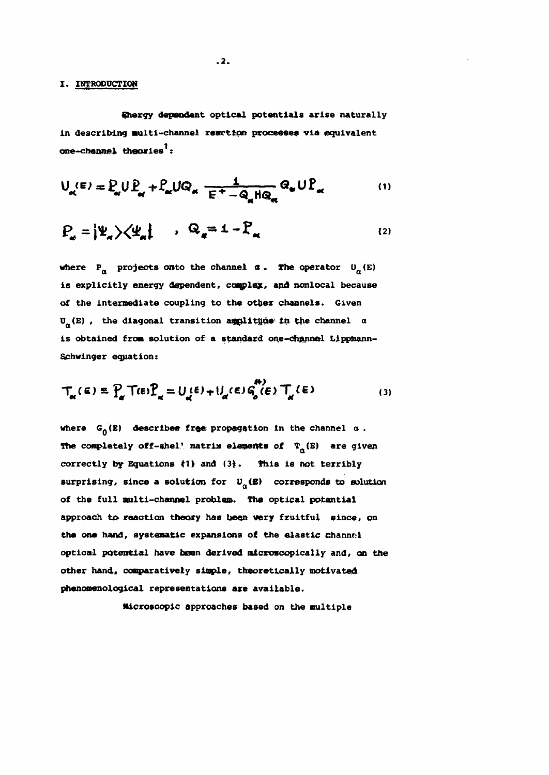#### **X. INTRODUCTION**

**Energy dependent optical potentials arise naturally** in describing multi-channel reaction processes via equivalent **one-channel theories :**

$$
U_{\alpha}(\mathbf{E}) = P_{\alpha} U P_{\alpha} + P_{\alpha} U Q_{\alpha} \frac{1}{\mathbf{E}^+ - Q_{\alpha} H Q_{\alpha}} Q_{\alpha} U P_{\alpha}
$$
 (1)

$$
P_{\alpha} = |\Psi_{\alpha}\rangle \langle \Psi_{\alpha}| \qquad , \qquad Q_{\alpha} = 1 - P_{\alpha} \qquad (2)
$$

where  $P_{\alpha}$  projects onto the channel  $\alpha$ . The operator  $U_{\alpha}$  (E) **is explicitly energy dependent, caqpley, and nonlocal because of the intermediate coupling to the other channels. Given U<sub>n</sub>**(E), the diagonal transition amplity in the channel  $\alpha$ **is obtained from solution of a standard one-channel Lippmann~ Schwinger equation:**

$$
T_{\alpha}(\epsilon) = P_{\alpha} T(\epsilon) P_{\alpha} = U_{\alpha}(\epsilon) + U_{\alpha}(\epsilon) G_{\rho}^{(k)}(\epsilon) T_{\alpha}(\epsilon)
$$
 (3)

where  $G_n(E)$  describes free propagation in the channel  $\alpha$ . **The completely off-shel**<sup>1</sup> matrix elements of  $T_a$ (B) are given **correctly by Equations (1) and (3). this is not terribly** surprising, since a solution for  $U_{\alpha}(\mathbf{E})$  corresponds to solution **of the full multi-channel problem. The optical potential approach to reaction theory has been very fruitful since, on the one hand, systematic expansions of the elastic channel optical potential have been derived microscopically and, on the other hand, comparatively simple, theoretically motivated phenomenological representations axe available.**

**Microscopic approaches based on the multiple**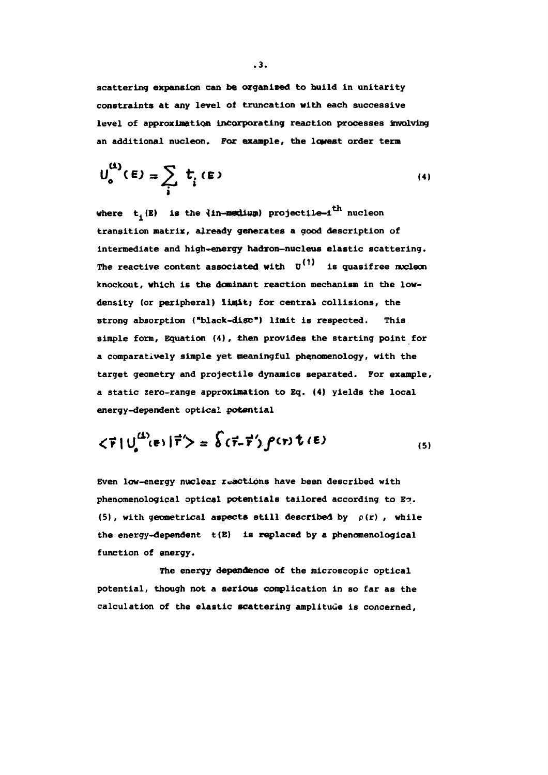**scattering expansion can be organised to build in unitarity constraints at any level of truncation with each successive level of approximation incorporating reaction processes Involving an additional nucleon. For example, the lowest order term**

$$
\mathsf{U}_{\mathsf{o}}^{(4)}(\mathsf{E}) = \sum_{i} \mathsf{t}_{i}(\mathsf{E}) \tag{4}
$$

**where ti(E) is the 3in-medium) projectile-i\*\*<sup>1</sup> nucleon transition matrix, already generates a good description of intermediate and high-energy hadron-nucleus elastic scattering.** The reactive content associated with  $U^{(1)}$  is quasifree nucleon **knockout, which is the dominant reaction mechanism in the lowdensity (or peripheral) limit; for central collisions, the strong absorption ("black-disc") limit is respected. This simple form. Equation (4), then provides the starting point for a comparatively simple yet meaningful phenomenology, with the target geometry and projectile dynamics separated. For example, a static zero-range approximation to Eq. (4) yields the local energy-dependent optical potential**

$$
\langle \vec{r} | U_{\rho}^{(1)}(\epsilon) | \vec{r}' \rangle = \hat{\delta} (\vec{r} - \vec{r}')
$$
 for  $(\epsilon)$  (5)

**Even low-energy nuclear reactions have been described with phenomenological optical potentials tailored according to En. (5), with geometrical aspects still described by p(r) , while the energy-dependent t{E) is replaced by a phenomenological function of energy.**

**The energy dependence of the microscopic optical potential, though not a serious complication in so far as the calculation of the elastic scattering amplitude is concerned,**

**.3.**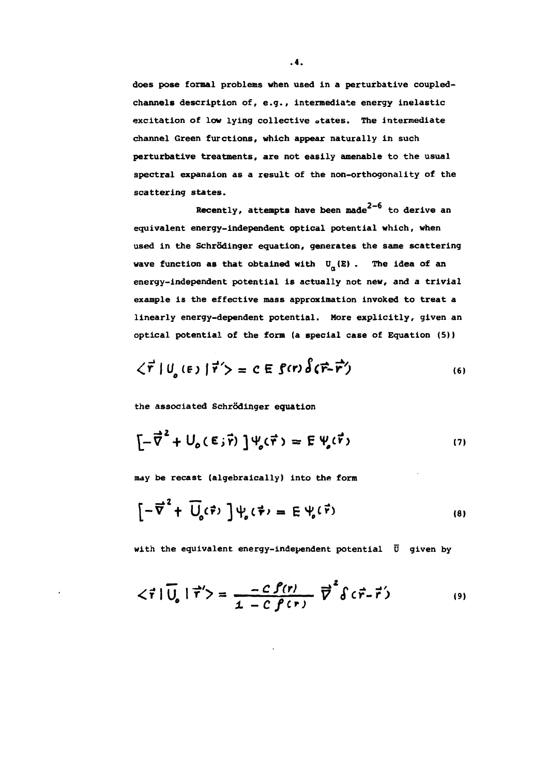**does pose formal problems when used in a perturbative coupledchannels description of, e.g., intermediate energy inelastic excitation of low lying collective states. The intermediate channel Green furctions, which appear naturally in such perturbative treatments, are not easily amenable to the usual spectral expansion as a result of the non-orthogonality of the scattering states.**

**Recently, attempts have been made**  $2-6$  to derive an **equivalent energy-independent optical potential which, when** used in the Schrödinger equation, generates the same scattering wave function as that obtained with  $U_{\alpha}(\mathbf{E})$ . The idea of an **energy-independent potential is actually not new, and a trivial example is the effective mass approximation invoked to treat a linearly energy-dependent potential. More explicitly, given an optical potential of the form (a special case of Equation (5))**

$$
\langle \vec{r} | U_{o}(\mathbf{F}) | \vec{r}' \rangle = C \mathbf{E} \text{ } \mathbf{S}(\mathbf{r}) \hat{\delta}(\vec{r} - \vec{r}')
$$
 (6)

**the associated Schrodinger equation**

$$
\left[-\vec{\nabla}^2 + U_o(\epsilon_j \vec{r})\right] \Psi_o(\vec{r}) = E \Psi_o(\vec{r}) \tag{7}
$$

**may be recast (algebraically) into the form**

$$
\left[-\overrightarrow{\nabla}^{2}+\overrightarrow{U}_{o}(\overrightarrow{r})\right]\psi_{o}(\overrightarrow{r})=E\psi_{o}(\overrightarrow{r})
$$
\n(8)

**with the equivalent energy-independent potential Ü given by**

$$
\langle \vec{r} | \vec{U}_{\rho} | \vec{r}' \rangle = \frac{-C \hat{f}(r)}{1 - C \hat{f}(r)} \vec{v}^2 \delta(\vec{r} - \vec{r}') \qquad (9)
$$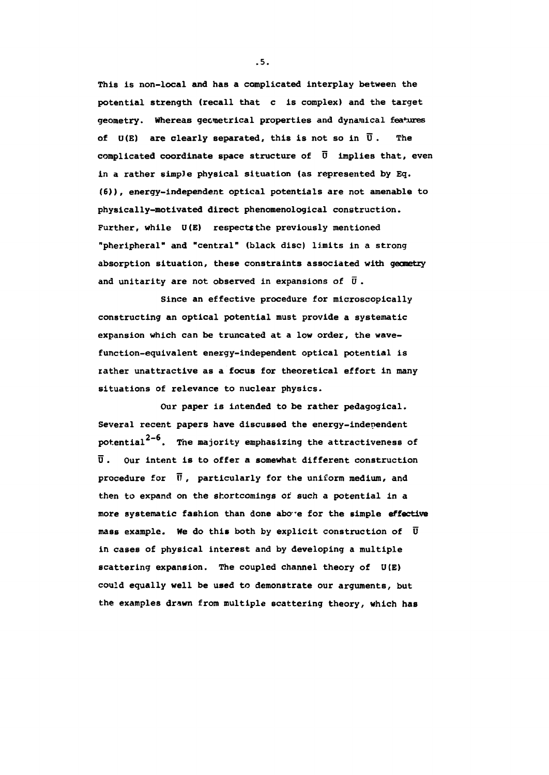**This is non-local and has a complicated interplay between the potential strength (recall that c is complex) and the target geometry. Whereas geometrical properties and dynamical features of U(E) are clearly separated, this is not so in Ü . The complicated coordinate space structure of Ü implies that, even in a rather simple physical situation (as represented by Eg. (6)), energy-independent optical potentials are not amenable to physically-motivated direct phenomenological construction. Further, while U(E) respects the previously mentioned "pheripheral" and "central" (black disc) limits in a strong absorption situation, these constraints associated with gecnetry and unitarity are not observed in expansions of ü .**

**Since an effective procedure for microscopically constructing an optical potential must provide a systematic expansion which can be truncated at a low order, the wavefunction-equivalent energy-independent optical potential is rather unattractive as a focus for theoretical effort in many situations of relevance to nuclear physics.**

**Our paper is intended to be rather pedagogical. Several recent papers have discussed the energy-independent** potential<sup>2-6</sup>. The majority emphasizing the attractiveness of **Ü . Our intent is to offer a somewhat different construction procedure for IT , particularly for the uniform medium, and then to expand on the shortcomings or' such a potential in a more systematic fashion than done abo-e for the simple effective mass example. We do this both by explicit construction of Ü in cases of physical interest and by developing a multiple scattering expansion. The coupled channel theory of U(E) could equally well be used to demonstrate our arguments, but the examples drawn from multiple scattering theory, which has**

**.5.**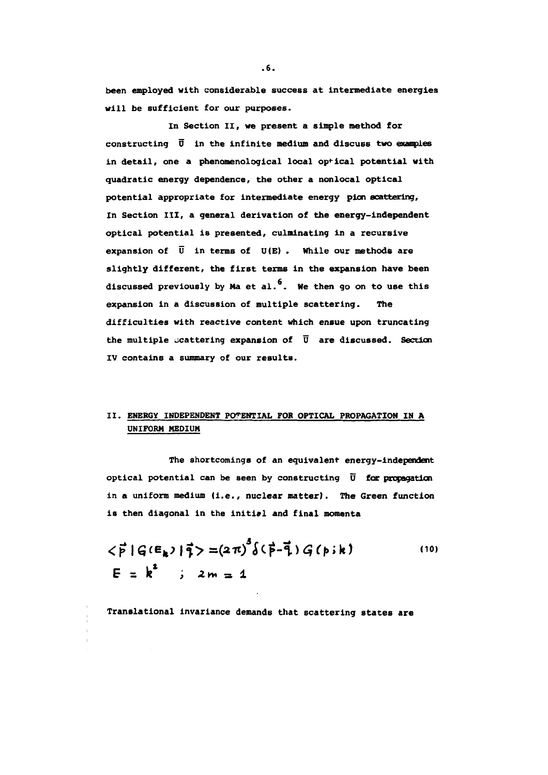**been employed with considerable success at intermediate energies will be sufficient for our purposes.**

**In Section II, we present a simple method for constructing 0 in the infinite medium and discuss two exanples in detail, one a phenomenological local optical potential with quadratic energy dependence, the other a nonlocal optical potential appropriate for intermediate energy pion scattering, In Section III, a general derivation of the energy-independent optical potential is presented, culminating in a recursive expansion of Ü in terms of U(E) . While our methods are slightly different, the first terms in the expansion have been** discussed previously by Ma et al.<sup>6</sup>. We then go on to use this **expansion in a discussion of multiple scattering. The difficulties with reactive content which ensue upon truncating the multiple scattering expansion of Ü are discussed. Section IV contains a summary of our results.**

#### **II. ENERGY INDEPENDENT POTENTIAL FOR OPTICAL PROPAGATION IN A UNIFORM MEDIUM**

**The shortcomings of an equivalent energy-independent optical potential can be seen by constructing Ü for propagation in a uniform medium (i.e., nuclear matter). The Green function is then diagonal in the initial and final momenta**

$$
\langle \vec{p} | G(E_k) | \vec{q} \rangle = (2\pi)^3 \delta(\vec{p} - \vec{q}) G(p; k)
$$
 (10)  
\n $E = k^2$  ;  $2m = 1$ 

**Translational invariance demands that scattering states are**

**.6.**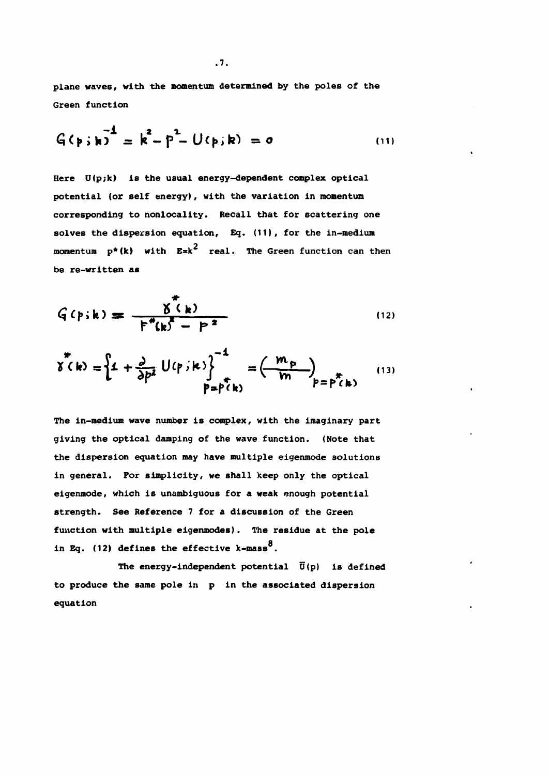**plane waves, with the momentum determined by the poles of the Green function**

$$
G(p; k) = k2 - p2 - U(p; k) = o
$$
 (11)

**Here U(p;k) is the usual energy-dependent complex optical potential (or self energy), with the variation in momentum corresponding to nonlocality. Recall that for scattering one solves the dispersion equation. Eg. (11), for the in-medium** momentum p\*(k) with E=k<sup>2</sup> real. The Green function can then **be re-written as**

$$
G(p;k) = \frac{\delta^{*}(k)}{F^{*}(k^{2} - P^{2})}
$$
 (12)

$$
\chi^{\pi}(k) = \left\{ 1 + \frac{\partial}{\partial p^{\lambda}} U(p, k) \right\}^{-1} = \left( \frac{m_p}{m} \right)_{p = p^{\pi}(k)}
$$
(13)

**The in-medium wave number is complex, with the imaginary part giving the optical damping of the wave function. (Note that the dispersion equation may have multiple eigenmode solutions in general. For simplicity, we shall keep only the optical eigenmode, which is unambiguous for a weak enough potential strength. See Reference 7 for a discussion of the Green function with multiple eigenmodes). The residue at the pole in Eq. (12) defines the effective k-mass<sup>8</sup>.**

The energy-independent potential  $\overline{U}(p)$  is defined **to produce the same pole in p in the associated dispersion equation**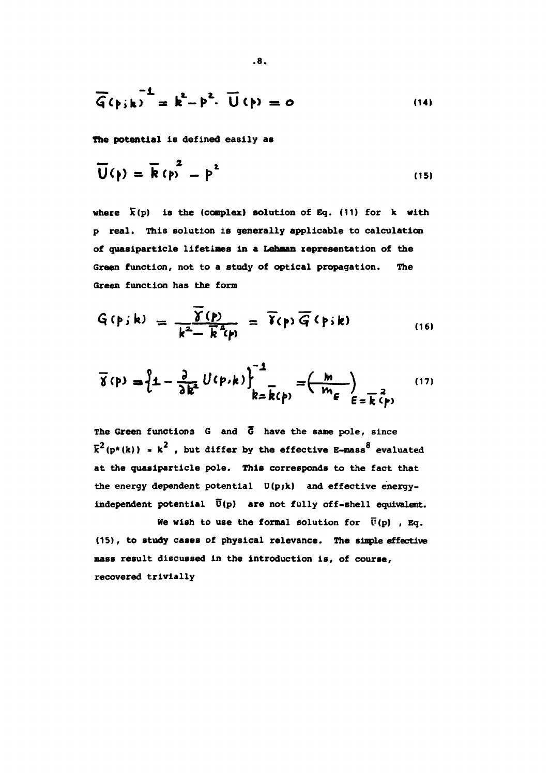$$
\overline{G}(\rho_{jk})^{-1} = k^2 - \rho^2 \cdot \overline{U}(\rho) = 0
$$
 (14)

**The potential is defined easily as**

$$
\overline{U}(\rho) = \overline{R} (\rho)^2 - \rho^2
$$
 (15)

where  $\bar{k}(p)$  is the (complex) solution of Eq. (11) for k with **p real. This solution is generally applicable to calculation** of quasiparticle lifetimes in a Lehman representation of the **Green function, not to a study of optical propagation. The Green function has the form**

$$
G(p; k) = \frac{\overline{\gamma}(p)}{k^2 - \overline{k}^2(p)} = \overline{\gamma}(p) \overline{G}(p; k)
$$
 (16)

$$
\overline{\gamma}(\rho) = \left\{ 1 - \frac{\partial}{\partial k^2} U(\rho, k) \right\}^{-1} = \left( \frac{m}{m_{\epsilon}} \right)_{\epsilon = \overline{k}(\rho)}
$$
(17)

**The Green functions G and G have the same pole, since**  $\overline{k}^2$ ( $p^*(k)$ ) =  $k^2$ , but differ by the effective B-mass<sup>8</sup> evaluated **at the quasiparticle pole. This corresponds to the fact that the energy dependent potential U(p;k) and effective energyindependent potential U(p) are not fully off-shell equivalent.**

We wish to use the formal solution for  $\bar{U}(p)$ , Eq. **(15), to study cases of physical relevance. The simple effective mass result discussed in the introduction is, of course, recovered trivially**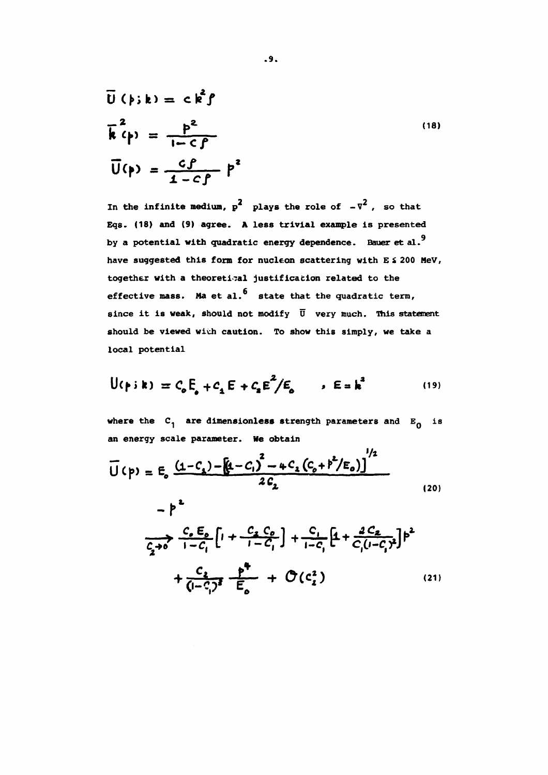$$
\overline{U}(\rho; k) = c k^{2} \rho
$$
\n
$$
\overline{k}^{2}(\rho) = \frac{\rho^{2}}{1 - C \rho}
$$
\n
$$
\overline{U}(\rho) = \frac{c \rho}{1 - C \rho} P^{2}
$$
\n(18)

In the infinite medium,  $p^2$  plays the role of  $-\nabla^2$ , so that **Eqs. (18) and (9) agree. A less trivial example is presented** by a potential with quadratic energy dependence. Bauer et al.<sup>9</sup> have suggested this form for nucleon scattering with E & 200 MeV, **have together with a theoretical justification related to the** effective mass. Ma et al.<sup>6</sup> state that the quadratic term, since it is weak, should not modify  $\overline{U}$  very much. This statement should be viewed with caution. To show this simply, we take a **should be viewed wiúh caution. To show this simply, we take a**

$$
U(\rho : k) = C_0 E_0 + C_1 E + C_2 E^2 / E_0 \qquad \rho E = k^2
$$
 (19)

where the  $C_1$  are dimensionless strength parameters and  $E_0$  is **an energy scale parameter. He obtain**

$$
\overline{U}(p) = E_0 \frac{(1 - C_1) - (1 - C_1)^2 - 4C_1(C_0 + p^2/E_0)}{2C_2}
$$
\n
$$
= p^2 \tag{20}
$$

$$
\frac{C_{0} E_{0}}{\frac{C_{2} + 0}{1 - C_{1}} \left[1 + \frac{C_{2} C_{0}}{1 - C_{1}}\right] + \frac{C_{1}}{1 - C_{1}} \left[1 + \frac{2 C_{2}}{C_{1}(1 - C_{1})^{2}}\right] \beta^{2}
$$
\n
$$
+ \frac{C_{2}}{(1 - C_{1})^{2}} \frac{\beta^{2}}{E_{0}} + \mathcal{O}(C_{2}^{2}) \qquad (21)
$$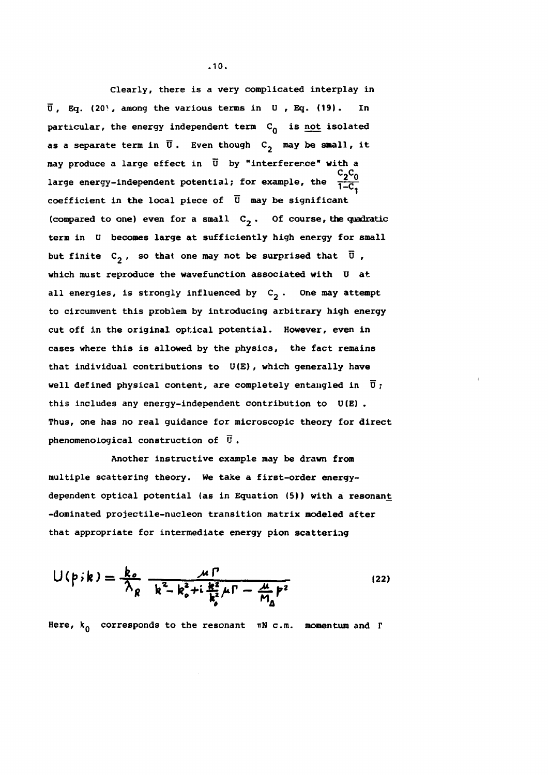**Clearly, there is a very complicated interplay in Ü, Eq. (20<sup>y</sup>, among the various terms in U , Eq. (19). In particular, the energy independent term C\_ is not isolated** as a separate term in  $\overline{U}$ . Even though  $C_2$  may be small, it **may produce a large effect in Ü by "interference" with a** large energy-independent potential; for example, the  $\frac{C_2 C_0}{1-C_1}$ **coefficient in the local piece of U may be significant (compared to one) even for a small C2 . Of course, the quadratic term in U becomes large at sufficiently high energy for small** but finite  $C_2$ , so that one may not be surprised that  $\overline{U}$ , **which must reproduce the wavefunction associated with U at** all energies, is strongly influenced by  $C_2$ . One may attempt **to circumvent this problem by introducing arbitrary high energy cut off in the original optical potential. However, even in cases where this is allowed by the physics, the fact remains that individual contributions to U(E), which generally have** well defined physical content, are completely entangled in  $\bar{u}$ ; **this includes any energy-independent contribution to U(E) . Thus, one has no real guidance for microscopic theory for direct phenomenoiogical construction of Ü.**

**Another instructive example may be drawn from multiple scattering theory. We take a first-order energydependent optical potential (as in Equation (5)) with a resonant -dominated projectile-nucleon transition matrix modeled after that appropriate for intermediate energy pion scattering**

$$
U(p, k) = \frac{k_o}{\lambda_R} \frac{\mu \Gamma}{k^2 - k_o^2 + i \frac{k^2}{k_o^2} \mu \Gamma - \frac{\mu}{M_a} p^2}
$$
 (22)

Here,  $k_0$  corresponds to the resonant  $\pi N$  c.m. momentum and  $\Gamma$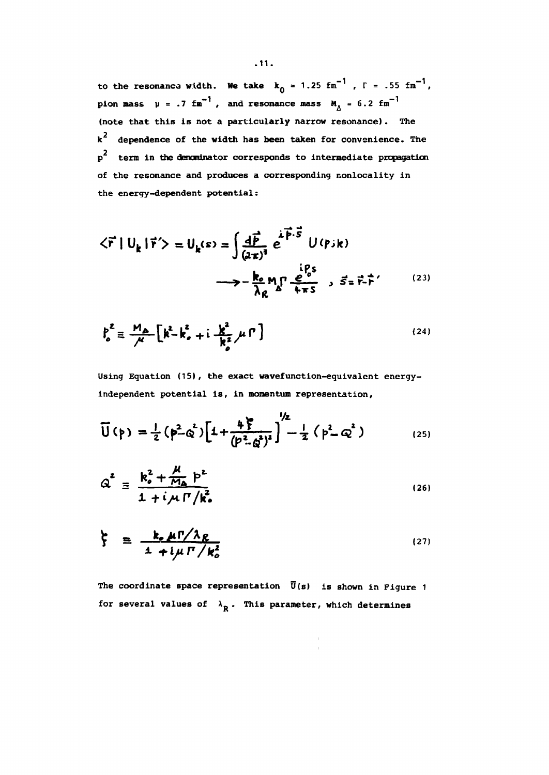to the resonance width. We take  $k_0 = 1.25$  fm<sup>-1</sup>,  $\Gamma = .55$  fm<sup>-1</sup>, pion mass  $\mu = .7$  fm<sup>-1</sup>, and resonance mass  $M_A = 6.2$  fm<sup>-1</sup> **(note that this is not a particularly narrow resonance). The k dependence of the width has been taken for convenience. The p term in the denominator corresponds to intermediate propagation of the resonance and produces a corresponding nonlocality in the energy-dependent potential:**

$$
\langle \vec{r} | U_k | \vec{r}' \rangle = U_k(s) = \int \frac{d\vec{P}}{(a\pi)^3} e^{\vec{i} \vec{P} \cdot \vec{S}} U(\vec{r}) k
$$
  

$$
\longrightarrow -\frac{k_e}{\lambda_R} M_p \frac{e^{0.5}}{+ \pi s} , \vec{S} = \vec{r} \cdot \vec{r}'
$$
 (23)

$$
\rho_o^2 \equiv \frac{M_{\Delta}}{\mu} \left[ k^2 - k_o^2 + i \frac{k^2}{k_o^2} \mu \Gamma \right]
$$
 (24)

**Using Equation (15), the exact wavefunction-equivalent energyindependent potential is, in momentum representation,**

$$
\overline{U}(\rho) = \frac{1}{2} (p^2 \phi^2) \Big[ 1 + \frac{4 \zeta}{(p^2 \phi^2)^2} \Big]^{2} - \frac{1}{2} (p^2 \phi^2)
$$
 (25)

$$
Q^2 = \frac{k_o^2 + \frac{\mu}{M_A} p^2}{1 + i \mu \Gamma / k_o^2}
$$
 (26)

$$
\zeta = \frac{k_e \mu \Gamma / \lambda_R}{1 + i \mu \Gamma / k_o^2}
$$
 (27)

**The coordinate space representation Ü(s) is shown in Figure 1** for several values of  $\lambda_R$ . This parameter, which determines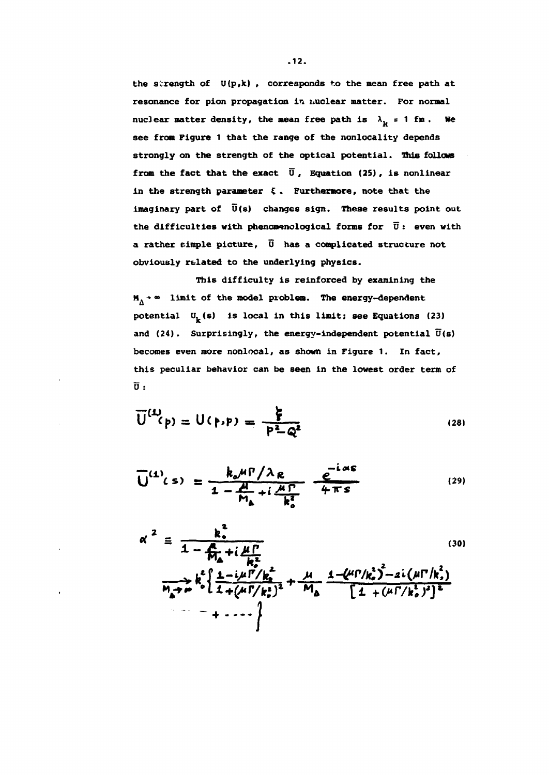the strength of  $U(p,k)$ , corresponds to the mean free path at **resonance for pion propagation in nuclear matter. For normal** nuclear matter density, the mean free path is  $\lambda_{\rm b}$  = 1 fm. We **see from Figure 1 that the range of the nonlocality depends strongly on the strength of the optical potential. This follows from the fact that the exact Ü , Equation (25), is nonlinear in the strength parameter Ç . Furthermore, note that the** imaginary part of  $\overline{U}(s)$  changes sign. These results point out **the difficulties with phenomenclogical forms for Ü : even with a rather simple picture, 0 has a complicated structure not obviously rtlated to the underlying physics.**

**This difficulty is reinforced by examining the M. -» • limit of the model problem. The energy-dependent potential \l&) is local in this limit; see Equations (23) and (24). Surprisingly, the energy-independent potential Ü(s) becomes even more nonlocal, as shown in Figure 1. In fact, this peculiar behavior can be seen in the lowest order term of U :**

$$
\overline{U}^{(1)}(p) = U(p,p) = \frac{\xi}{p^2 - Q^2}
$$
 (28)

$$
\overline{U}^{(1)}(s) = \frac{k_o \mu \Gamma / \lambda_R}{1 - \frac{\mu}{M_h} + i \frac{\mu \Gamma}{k_o^2}} \frac{e^{-i \alpha s}}{4 \pi s}
$$
(29)

$$
\alpha^{2} = \frac{k_{0}^{2}}{1 - \frac{R}{M_{\Delta}} + i \frac{\mu \Gamma}{R_{\Delta}^{2}}}
$$
\n
$$
\frac{k_{0}^{2} \left\{ \frac{1 - i \mu \Gamma / k_{0}^{2}}{1 + (\mu \Gamma / k_{0}^{2})^{2}} + \frac{\mu}{M_{\Delta}} \frac{1 - (\mu \Gamma / k_{0}^{2})^{2} - 2i (\mu \Gamma / k_{0}^{2})}{\left[ 1 + (\mu \Gamma / k_{0}^{2})^{2} \right]^{2}} \right\}}{1 + \cdots}
$$
\n(30)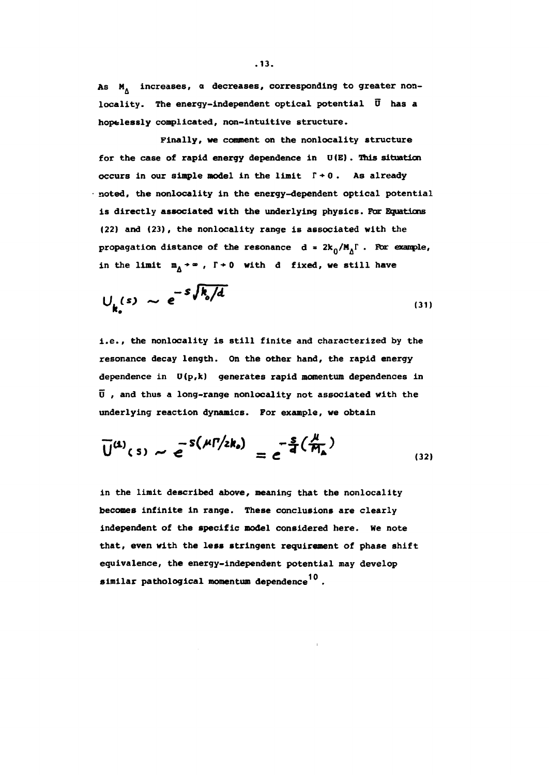As M<sub>A</sub> increases, a decreases, corresponding to greater non**locality. The energy-independent optical potential Ü has a hopelessly complicated, non-intuitive structure.**

**Finally, we comment on the nonlocality structure for the case of rapid energy dependence in U(E) . This situation occurs in our simple model in the limit**  $\Gamma \div 0$ **.** As already **noted, the nonlocality in the energy-dependent optical potential is directly associated with the underlying physics. For Equations (22) and (23), the nonlocality range is associated with the propagation distance of the resonance**  $d = 2k_0/M_A\Gamma$ **. For example,** in the limit  $m_A + \infty$ ,  $\Gamma + 0$  with d fixed, we still have

$$
U_{k_o}(s) \sim e^{-S \sqrt{k_o/d}}
$$
 (31)

**i.e., the nonlocality is still finite and characterized by the resonance decay length. On the other hand, the rapid energy dependence in O(p,k) generates rapid momentum dependences in D , and thus a long-range nonlocality not associated with the underlying reaction dynamics. For example, we obtain**

$$
\overline{U}^{(1)}(s) \sim e^{-S(\mu \Gamma/2k_o)} = e^{-\frac{S}{d}(\frac{\mu}{M_a})}
$$
\n(32)

**in the limit described above, meaning that the nonlocality becomes infinite in range. These conclusions are clearly independent of the specific model considered here. He note that, even with the less stringent requirement of phase shift equivalence, the energy-independent potential may develop** similar pathological momentum dependence<sup>10</sup>.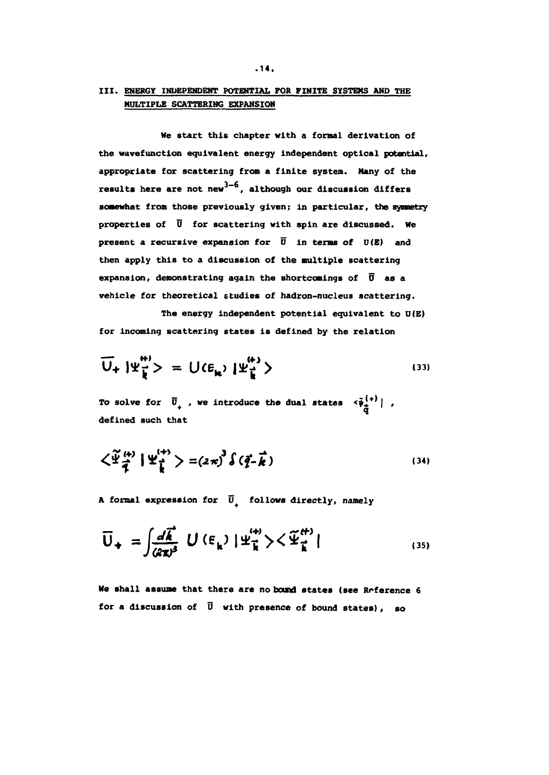#### **III. ENERGY INDEPENDENT POTENTIAL FOR FINITE SYSTEMS AND THE MULTIPLE SCATTERING EXPANSION**

**We start this chapter with a formal derivation of the wavefunction equivalent energy independent optical potential, appropriate for scattering from a finite system. Many of the** results here are not new<sup>3-6</sup>, although our discussion differs **somewhat from those previously given; in particular, the synoetry properties of Ü for scattering with spin are discussed. We present a recursive expansion for**  $\overline{U}$  **in terms of**  $U(E)$  **and then apply this to a discussion of the multiple scattering** expansion, demonstrating again the shortcomings of  $\overline{0}$  as a **vehicle for theoretical studies of hadron-nucleus scattering.**

**The energy independent potential equivalent to D(E) for incoming scattering states is defined by the relation**

$$
\overline{U}_{+} | \Psi_{\vec{k}}^{\mathfrak{m}} \rangle = U(\epsilon_{\mathfrak{m}}) | \Psi_{\vec{k}}^{\mathfrak{m}} \rangle
$$
\n(33)

To solve for  $\vec{U}_{+}$ , we introduce the dual states  $\langle \vec{\psi}_{\vec{\lambda}}^{(+)} |$ , **defined such that**

$$
\left\langle \widetilde{\Psi}_{\frac{1}{2}}^{(4)} | \Psi_{\frac{1}{k}}^{(4)} \right\rangle = \left( 2\pi \right)^3 \left( \widetilde{q} - \widetilde{k} \right)
$$
 (34)

**A formal expression for U+ follows directly, namely**

$$
\overline{U}_{+} = \int \frac{d\vec{k}}{(2\pi)^{3}} U(\epsilon_{k}) |\Psi_{\vec{k}}^{(+)}\rangle \langle \Psi_{\vec{k}}^{(+)}|
$$
\n(35)

**He shall assume that there are no band states (see Reference 6 for a discussion of Ü with presence of bound states), so**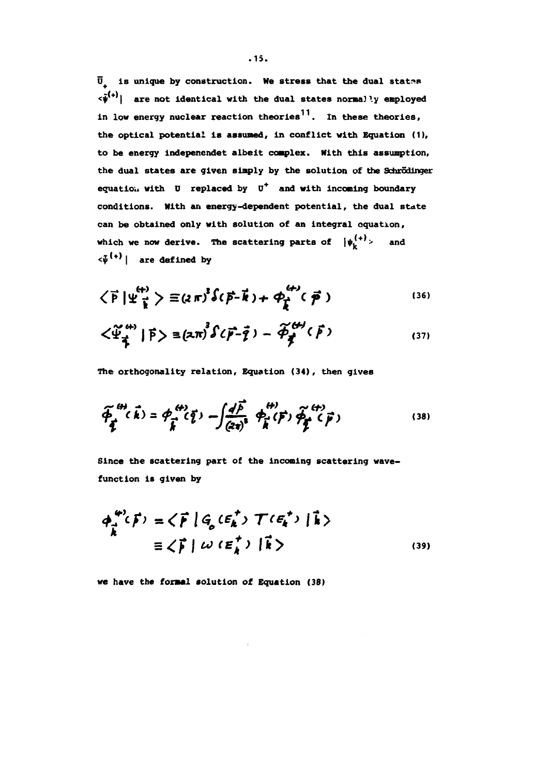**Ü is unique by construction. We stress that the dual statss**  $\langle \hat{\psi}^{(+)} |$  are not identical with the dual states normally employed **in low energy nuclear reaction theories . In these theories, the optical potential is assumed, in conflict with Equation (1), to be energy indepenendet albeit complex. With this assumption, the dual states are given simply by the solution of the Schrodinger equation with 0 replaced by U<sup>+</sup> and with incoming boundary conditions. With an energy-dependent potential, the dual state can be obtained only with solution of an integral equation,** which we now derive. The scattering parts of  $|\psi_k^{(+)}\rangle$  $\langle \tilde{\psi}^{(+)} |$  are defined by

$$
\left\langle \vec{P} \, | \, \Psi_{\vec{k}}^{(+)} \right\rangle \equiv (2 \pi)^3 \hat{\delta} (\vec{P} - \vec{k}) + \varphi_{\vec{k}}^{(+)} (\vec{P}) \tag{36}
$$

$$
\langle \tilde{\Psi}_{\vec{q}}^{^{(4)}} | \vec{P} \rangle \equiv (2\pi)^3 \hat{\delta} (\vec{p} - \vec{q}) - \widetilde{\phi}_{\vec{q}}^{^{(4)}} (\vec{p})
$$
 (37)

**The orthogonality relation, Equation (34), then gives**

$$
\widetilde{\phi}_{\vec{k}}^{(4)}(\vec{k}) = \phi_{\vec{k}}^{(4)}(\vec{\zeta}) - \int \frac{d\vec{F}}{(2\pi)^3} \phi_{\vec{k}}^{(4)}(\vec{F}) \widetilde{\phi}_{\vec{k}}^{(4)}(\vec{F})
$$
\n(38)

**Since the scattering part of the incoming scattering wavefunction is given by**

$$
\phi_{\vec{k}}^{(4)}(\vec{F}) = \langle \vec{F} | G_{\rho}(\varepsilon_{\vec{k}}^{+}) \mathcal{T}(\varepsilon_{\vec{k}}^{+}) | \vec{k} \rangle
$$
  

$$
\equiv \langle \vec{F} | \omega (\varepsilon_{\vec{k}}^{+}) | \vec{k} \rangle
$$
 (39)

**we have the formal solution of Equation (38)**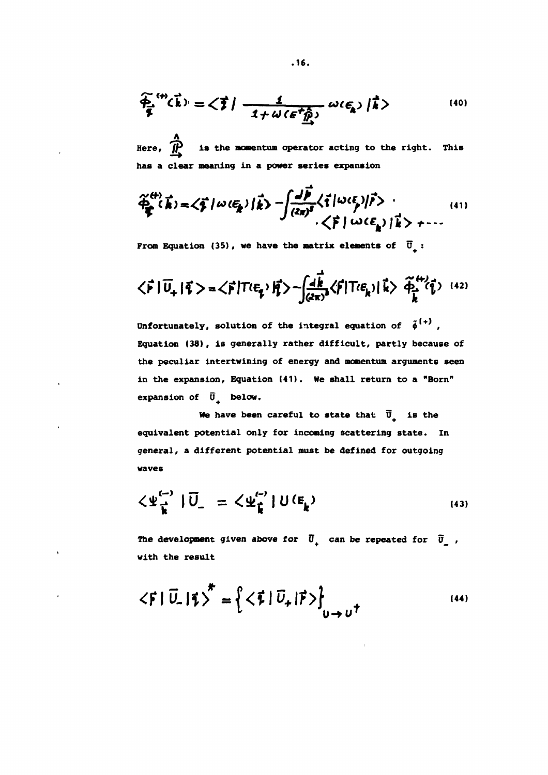$$
\widetilde{\Phi}_{\mathbf{A}}^{(4)}(\vec{k}) = \langle \vec{\xi} | -\frac{1}{1 + \omega(\epsilon^2 \hat{\vec{p}})} \omega(\epsilon_{\mathbf{A}}) |\vec{k}\rangle
$$
 (40)

**A Here, /\*** is the momentum operator acting to the right. This **has a clear meaning in a power series expansion**

$$
\widetilde{\varphi}_{\vec{k}}^{(4)}(\vec{k}) = \langle \vec{\xi} | \omega (\xi_{\vec{k}}) | \vec{k} \rangle - \int \frac{d\vec{b}}{(2\pi)^3} \langle \vec{\xi} | \omega (\xi) | \vec{r} \rangle
$$
\n(41)

**From Equation (35), we have the matrix elements of**  $\overline{0}_i$ **:** 

$$
\langle \vec{F} | \vec{U}_{+} | \vec{q} \rangle = \langle \vec{F} | T \ell \epsilon_{\vec{q}} \rangle |\vec{q} \rangle - \int \frac{d\vec{k}}{(2\pi)^3} \langle \vec{F} | T \ell \epsilon_{\vec{k}} \rangle |\vec{k} \rangle |\vec{q} \rangle^{(42)}
$$

Unfortunately, solution of the integral equation of  $\tilde{\phi}^{(+)}$ , **Equation (38), is generally rather difficult, partly because of the peculiar intertwining of energy and momentum arguments seen in the expansion, Equation (41). We shall return to a "Born" expansion of U+ below.**

**We have been careful to state that**  $\overline{U}$  **is the equivalent potential only for incoming scattering state. In general, a different potential must be defined for outgoing waves**

$$
\langle \Psi_{\vec{k}}^{(-)} | \vec{U}_{-} = \langle \Psi_{\vec{k}}^{(-)} | U(E_{\vec{k}})
$$
\n(43)

The development given above for  $\overline{U}_{\perp}$  can be repeated for  $\overline{U}_{\perp}$ , **with the result**

$$
\langle \vec{F} | \vec{U}_{-} | \vec{\tau} \rangle^{\star} = \left\{ \langle \vec{F} | \vec{U}_{+} | \vec{F} \rangle \right\}_{U \to U^{\dagger}}
$$
\n(44)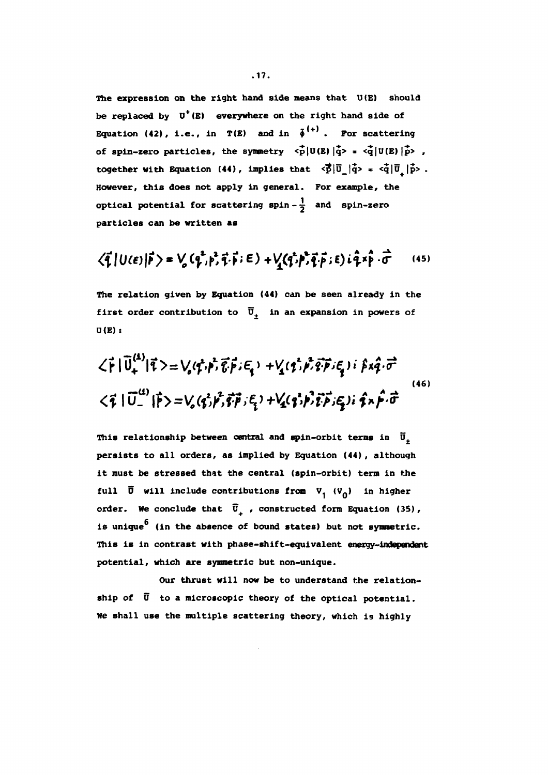**The expression on the right hand side means that U(E) should be replaced by U<sup>+</sup>(E) everywhere on the right hand side of Equation (42), i.e., in**  $T(E)$  **and in**  $\tilde{\phi}^{(+)}$ **. For scattering** of spin-zero particles, the symmetry  $\langle \vec{p} | U(E) | \vec{q} \rangle = \langle \vec{q} | U(E) | \vec{p} \rangle$ , **together with Equation (44), implies that**  $\leq \vec{p}|\vec{u}_\perp|\vec{q}$  **=**  $\leq \dot{q}|\vec{u}_\perp|\vec{p}$  **. However, this does not apply in general. For example, the optical potential for scattering**  $\text{spin} - \frac{1}{2}$  **and**  $\text{spin-zero}$ **particles can be written as**

$$
\langle \vec{\mathbf{q}} | U(\epsilon) | \vec{\mathbf{p}} \rangle = V_o(q^2, p^2, \vec{\mathbf{q}} \cdot \vec{\mathbf{p}}; \epsilon) + V_o(q^2, p^2, \vec{\mathbf{q}} \cdot \vec{\mathbf{p}}; \epsilon) i \hat{q} \times \hat{\mathbf{p}} \cdot \vec{\mathbf{q}} \qquad (45)
$$

**The relation given by Equation (44) can be seen already in the** first order contribution to  $\overline{U}_\pm$  in an expansion in powers of **U(E):**

$$
\langle \vec{r} | \vec{U}^{(4)}_{+} | \vec{r} \rangle = \bigvee_{o} \langle \vec{r}, \vec{p}, \vec{e}, \vec{p}, \in_{\mathfrak{q}} \rangle + \bigvee_{\mathfrak{q}} \langle \vec{r}, \vec{p}, \vec{e}, \vec{p}, \in_{\mathfrak{q}} \rangle \; i \; \hat{\beta} \times \hat{q} \cdot \vec{\sigma}
$$
\n
$$
\langle \vec{r} | \vec{U}^{(4)}_{-} | \vec{p} \rangle = \bigvee_{o} \langle \vec{q}, \vec{p}, \vec{q}, \vec{p}, \in_{\mathfrak{q}} \rangle + \bigvee_{\mathfrak{q}} \langle \vec{q}, \vec{p}, \vec{p}, \vec{p}, \in_{\mathfrak{p}} \rangle \; i \; \hat{\mathfrak{p}} \times \hat{p} \cdot \vec{\sigma}
$$
\n
$$
(46)
$$

This relationship between central and spin-orbit terms in  $\vec{U}_{\pm}$ **persists to all orders, as implied by Equation (44) , although it must be stressed that the central (spin-orbit) term in the** full  $\vec{\mathbf{U}}$  will include contributions from  $V_1$  ( $V_0$ ) in higher order. We conclude that  $\overline{U}_1$ , constructed form Equation (35), is unique<sup>6</sup> (in the absence of bound states) but not symmetric. **This is in contrast with phase-shift-equivalent energy-independent potential, which are symmetric but non-unique.**

**Our thrust will now be to understand the relationship of Ü to a microscopic theory of the optical potential. He shall use the multiple scattering theory, which is highly**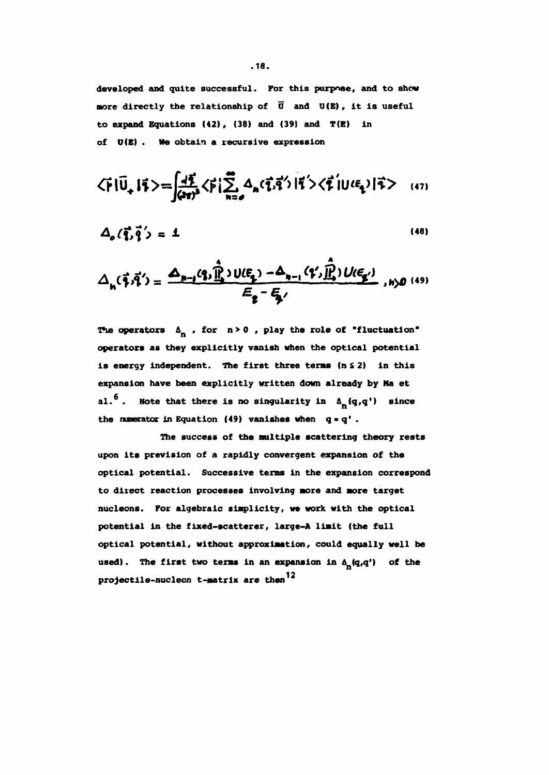**developed and quite successful. For this purpose, and to show nore directly the relationship of Õ and U(E), it is useful to expand Equations (42), (38) and (39) and T(B) in of O(B) . We obtain a recursive expression**

$$
\langle \vec{r} | \vec{U}_{+} | \vec{r} \rangle = \int \frac{d\vec{r}}{(4\pi)^3} \langle \vec{r} | \sum_{n=0}^{\infty} A_n(\vec{r}, \vec{q}') | \vec{r} \rangle \langle \vec{r} | U^{\ell}(\vec{r}_{1}) | \vec{r} \rangle
$$
 (47)

$$
\Delta_o(\vec{q}, \vec{q}') = 1 \tag{48}
$$

$$
\Delta_{h}(\vec{\tau},\vec{\tau}')=\frac{\Delta_{h-j}(q,\hat{\vec{l}}_1)\cup(\vec{\epsilon}_2)-\Delta_{h-j}(q',\hat{\vec{l}}_1)\cup(\vec{\epsilon}_2')}{\vec{\epsilon}_2-\vec{\epsilon}_2'}
$$

The operators  $\Delta_n$ , for  $n>0$ , play the role of "fluctuation" **operators as they explicitly vanish when the optical potential is energy independent. The first three terms (n S 2) in this expansion have been explicitly written down already by Ma et** al.<sup>6</sup>. Note that there is no singularity in  $\Delta_{n}(q,q')$  since **the nunerator in Equation (49) vanishes when q \* q<sup>1</sup> .**

**The success of the multiple scattering theory rests upon its prevision of a rapidly convergent expansion of the optical potential. Successive terms in the expansion correspond to direct reaction processes involving more and more target nucleons. For algebraic simplicity, we work with the optical potential in the fixed-scatterer, large-A limit (the full optical potential, without approximation, could equally well be** used). The first two terms in an expansion in  $\Delta_{\mathbf{n}}(\mathbf{q},\mathbf{q}')$  of the **projectile-nucleon t-matrix are then**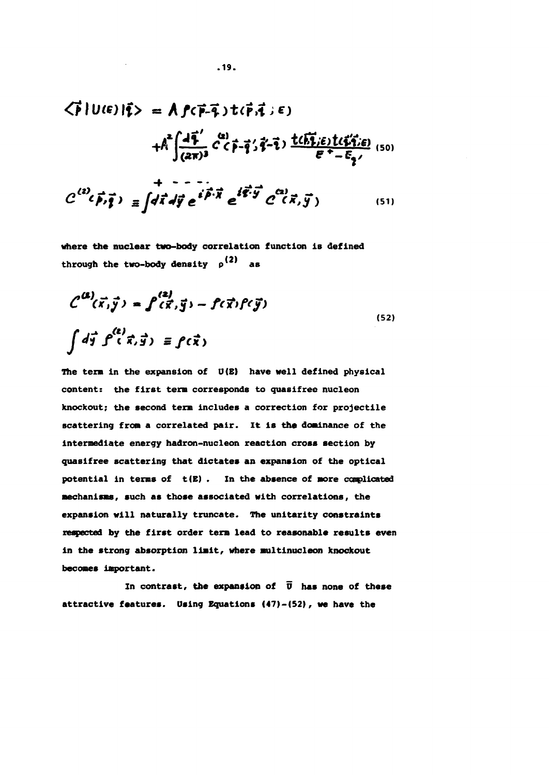$$
\langle \vec{r} | U(\vec{\epsilon}) | \vec{\tau} \rangle = \hat{A} \hat{f}(\vec{r} - \vec{\tau}) t(\vec{r}, \vec{\tau}) \epsilon)
$$
  
+ 
$$
\hat{A}^2 \int \frac{d\vec{\tau}'}{(2\pi)^3} \hat{c}^2(\vec{r} - \vec{\tau}) \frac{t(\vec{h}\vec{\tau})\epsilon}{\epsilon^2 - \epsilon_{\vec{\tau}}}
$$
  
+ 
$$
\hat{C}^{(2)}(\vec{p}, \vec{\tau}) = \int d\vec{\tau} d\vec{y} e^{i\vec{p} \cdot \vec{\tau}} e^{i\vec{\tau} \cdot \vec{\tau}} e^{i\vec{\tau} \cdot \vec{y}} C^{\alpha 2}(\vec{x}, \vec{y}) \qquad (51)
$$

where **the nuclear two-body** correlation function is defined through the two-body density  $\rho^{(2)}$  as

$$
\begin{aligned}\n\mathcal{L}^{(2)}(\vec{x}, \vec{y}) &= \int'(\vec{x}, \vec{y}) - \int'(\vec{x}) f'(\vec{y}) \\
\int d\vec{y} \int^{(2)}(\vec{x}, \vec{y}) & \equiv \int'(\vec{x})\n\end{aligned} \tag{52}
$$

**The term in the expansion of 0(E) have well defined physical content: the first term corresponds to quasifree nucleon knockout; the second term includes a correction for projectile scattering from a correlated pair. It is the dominance of the intermediate energy hadron-nucleon reaction cross section by quasifree scattering that dictates an expansion of the optical potential in terms of t(E) . In the absence of more complicated mechanisms, such as those associated with correlations, the expansion will naturally truncate. The unitarity constraints respected by the first order term lead to reasonable results even in the strong absorption limit, where multinucleon knockout becomes important.**

In contrast, the expansion of  $\vec{v}$  has none of these **attractive features. Dsing Equations (47)-(52), we have the**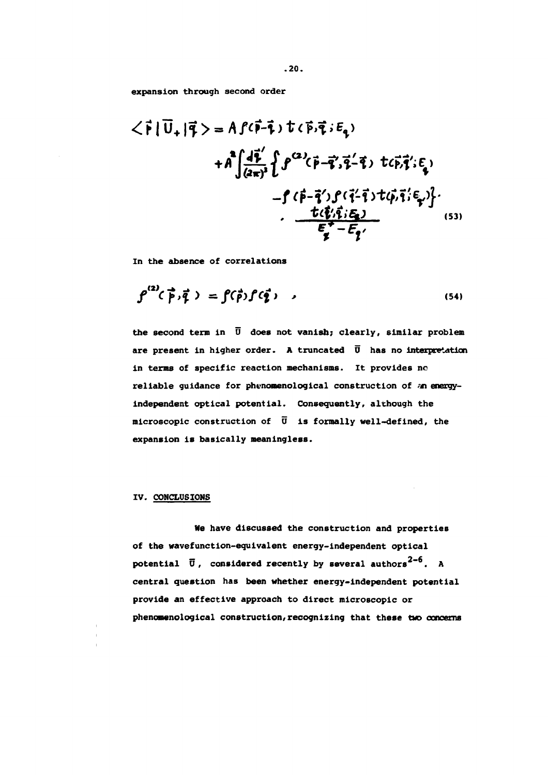**expansion through second order**

$$
\langle \vec{r} | \vec{U}_{+} | \vec{q} \rangle = A f(\vec{r} - \vec{t}) t (\vec{p}, \vec{q}; E_{q})
$$
  
+  $A \int \frac{d\vec{r}}{(2\pi)^{3}} \{ f^{\alpha/2}(\vec{p} - \vec{q}', \vec{q} - \vec{q}) t(\vec{p}, \vec{q}'; E_{q})$   
-  $f (\vec{p} - \vec{q}') f(\vec{q} - \vec{q}) t(\vec{p}, \vec{q}; E_{q}) \}.$   
 $\frac{t(\vec{q}, \vec{q}; E_{q})}{E_{q}^{+} - E_{q'}}.$  (53)

**In the absence of correlations**

$$
\rho^{(2)}(\vec{p},\vec{q}) = \rho(\vec{p})\rho(\vec{q}), \qquad (54)
$$

**the second term in U does not vanish; clearly, similar problem are present in higher order. A truncated D has no interpretation in terms of specific reaction mechanisms. It provides no reliable guidance for phenomenological construction of an energyindependent optical potential. Consequently, although the microscopic construction of Ü is formally well-defined, the expansion is basically meaningless.**

#### **IV. CONCLUSIONS**

**Ne have discussed the construction and properties of the wavefunction-eguivalent energy-independent optical** potential  $\vec{U}$ , considered recently by several authors<sup>2-6</sup>. A **central question has been whether energy-independent potential provide an effective approach to direct microscopic or phenomenological construction/recognizing that these two concerns**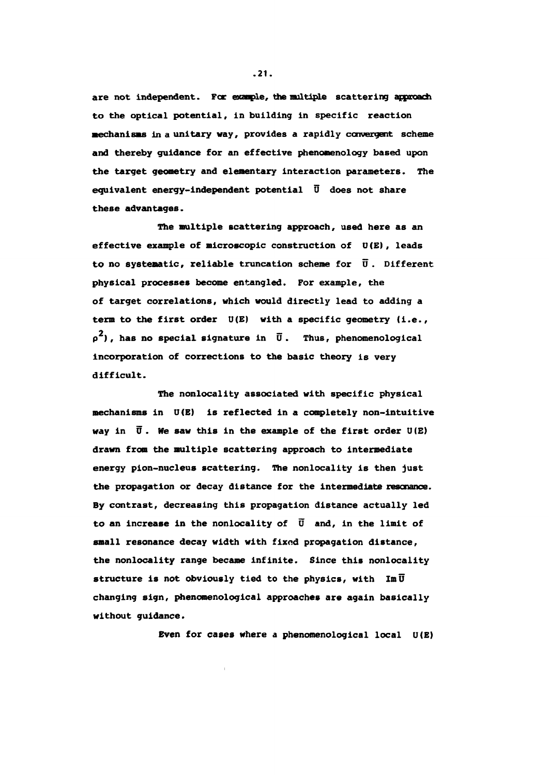**are not independent. For exanple, the multiple scattering approach to the optical potential, in building in specific reaction mechanisms in a unitary way, provides a rapidly convergent scheme and thereby guidance for an effective phenomenology based upon the target geometry and elementary interaction parameters. The equivalent energy-independent potential Ü does not share these advantages.**

**The multiple scattering approach, used here as an effective example of microscopic construction of U(E), leads to no systematic, reliable truncation scheme for U . Different physical processes become entangled. For example, the of target correlations, which would directly lead to adding a term to the first order U(E) with a specific geometry (i.e.,**  $p^2$ ), has no special signature in  $\overline{U}$ . Thus, phenomenological **incorporation of corrections to the basic theory is very difficult.**

**The nonlocality associated with specific physical mechanisms in U(E) is reflected in a completely non-intuitive way in Ü . He saw this in the example of the first order U(E) drawn from the multiple scattering approach to intermediate energy pion-nucleus scattering. The nonlocality is then just the propagation or decay distance for the intermediate resonance. By contrast, decreasing this propagation distance actually led to an increase in the nonlocality of Ü and, in the limit of small resonance decay width with fixod propagation distance, the nonlocality range became infinite. Since this nonlocality** structure is not obviously tied to the physics, with  $\overline{Im\ U}$ **changing sign, phenomenological approaches are again basically without guidance.**

**Even for cases where a phenomenological local U(E)**

**.21.**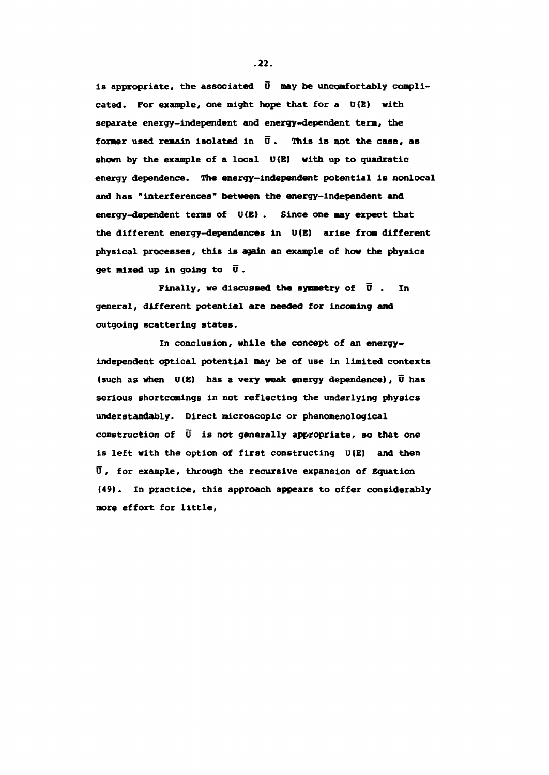**is appropriate, the associated Õ nay be uncomfortably complicated. For example, one might hope that for a U(E) with** separate energy-independent and energy-dependent term, the **former used remain isolated in Õ . This is not the case, as shown by the example of a local D(E) with up to quadratic energy dependence. The energy-independent potential is nonlocal and has "interferences" between the energy-independent and energy-dependent terms of U(E) . Since one may expect that the different energy-dependences in U(E) arise from different physical processes, this is again an example of how the physics get mixed up in going to Ü .**

**Finally, we discussed the symmetry of**  $\overline{U}$ **.** In **general, different potential are needed for incoming and outgoing scattering states.**

**In conclusion, while the concept of an energyindependent optical potential nay be of use in limited contexts (such as when U(E) has a very weak energy dependence), Ü has serious shortcomings in not reflecting the underlying physics understandably. Direct microscopic or phenomenological construction of V is not generally appropriate, so that one is left with the option of first constructing U(E) and then Ü, for example, through the recursive expansion of Equation (49). In practice, this approach appears to offer considerably more effort for little,**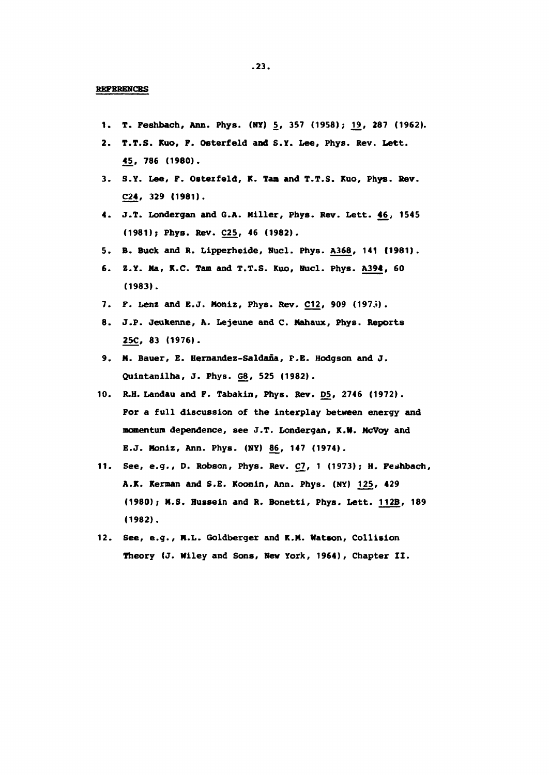- 1. T. Feshbach, Ann. Phys. (NY) 5, 357 (1958); 19, 287 (1962).
- **2. T.T.S. Kuo, F. Osterfeld and S.Y. Lee, Phys. Rev. Lett. 45, 786 (1980).**
- **3. S.Y. Lee, F. Ostezfeld, K. Tam and T.T.S. Kuo, Phys. Rev. C24, 329 (1981).**
- **4. J.T. Londergan and G.A. Killer, Phys. Rev. Lett. 46, 1545 (1981); Phys. Rev. Ç2£, 46 (1982).**
- **5. B. Buck and R. Lipperheide, Nucl. Phys. A368, 141 11981).**
- **6. Z.Y. Na, K.C. Tam and T.T.S. Kuo, Nucl. Phys. A394, 60 (1983).**
- **7. F. Lenz and E.J. Moniz, Phys. Rev. ÇU , 909 (197.»).**
- **8. J.P. Jeukenne, A. Lejeune and C. Mahaux, Phys. Reports 25C, 83 (1976).**
- **9. M. Bauer, E. Hernandez-Saldana, P.B. Hodgson and J. Quintanilha, J. Phys. G8, 525 (1982).**
- **10. R.H. Landau and F. Tabakin, Phys. Rev. D5, 2746 (1972). For a full discussion of the interplay between energy and momentum dependence, see J.T. Londergan, K.tf. McVoy and E.J. Moniz, Ann. Phys. (NY) 86, 147 (1974).**
- **11. See, e.g., D. Robson, Phys. Rev. Ç7, 1 (1973); H. Fetthbach, A.K. Kerman and S.E. Koonin, Ann. Phys. (NY) 125, 429 (1980); M.S. Hussein and R. Bonetti, Phys. Lett. 112B, 189 (1982).**
- **12. See, e.g., H.L. Goldberger and K.M. Watson, Collision Theory (J. Wiley and Sons, New York, 1964), Chapter II.**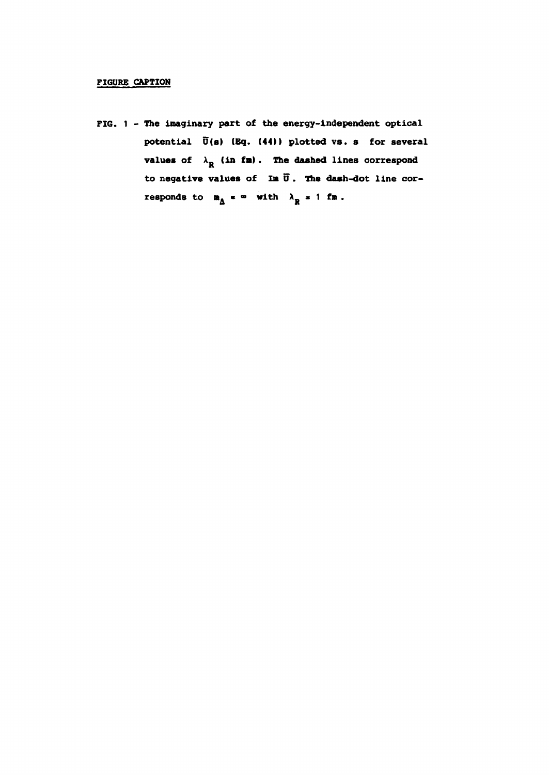#### **FIGURE CAPTION**

**FIG. 1 - The imaginary part of the energy-independent optical potential U(s) (Bq. (44)) plotted vs. s for several values of**  $\lambda_R$  (in fm). The dashed lines correspond **to negative values of Ia Õ . The dash-dot line cor**responds to  $m_A \neq \infty$  with  $\lambda_R \neq 1$  fm.